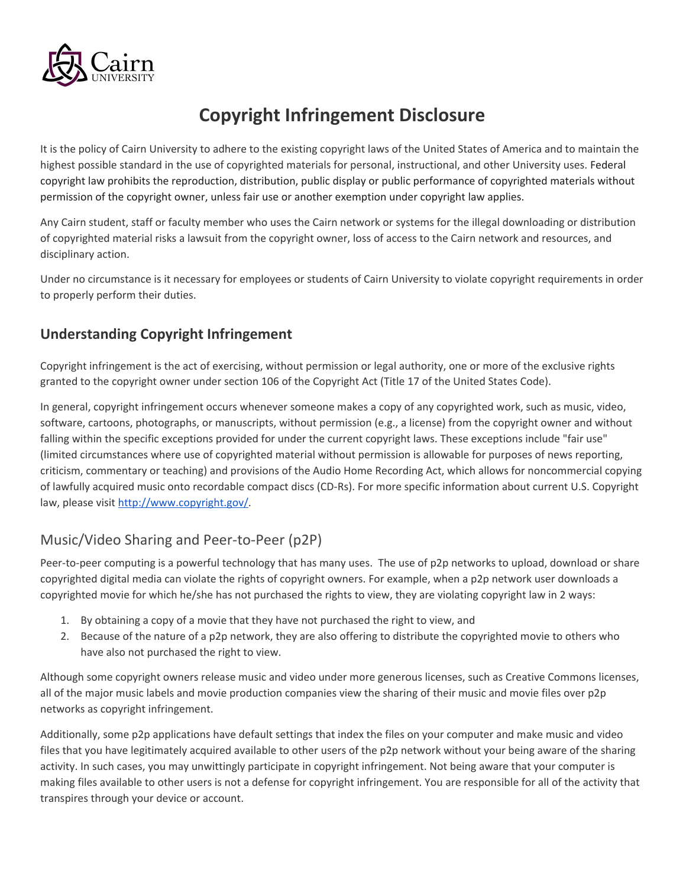

# **Copyright Infringement Disclosure**

It is the policy of Cairn University to adhere to the existing copyright laws of the United States of America and to maintain the highest possible standard in the use of copyrighted materials for personal, instructional, and other University uses. Federal copyright law prohibits the reproduction, distribution, public display or public performance of copyrighted materials without permission of the copyright owner, unless fair use or another exemption under copyright law applies.

Any Cairn student, staff or faculty member who uses the Cairn network or systems for the illegal downloading or distribution of copyrighted material risks a lawsuit from the copyright owner, loss of access to the Cairn network and resources, and disciplinary action.

Under no circumstance is it necessary for employees or students of Cairn University to violate copyright requirements in order to properly perform their duties.

#### **Understanding Copyright Infringement**

Copyright infringement is the act of exercising, without permission or legal authority, one or more of the exclusive rights granted to the copyright owner under section 106 of the Copyright Act (Title 17 of the United States Code).

In general, copyright infringement occurs whenever someone makes a copy of any copyrighted work, such as music, video, software, cartoons, photographs, or manuscripts, without permission (e.g., a license) from the copyright owner and without falling within the specific exceptions provided for under the current copyright laws. These exceptions include "fair use" (limited circumstances where use of copyrighted material without permission is allowable for purposes of news reporting, criticism, commentary or teaching) and provisions of the Audio Home Recording Act, which allows for noncommercial copying of lawfully acquired music onto recordable compact discs (CD-Rs). For more specific information about current U.S. Copyright law, please visit [http://www.copyright.gov/.](http://www.copyright.gov/)

## Music/Video Sharing and Peer-to-Peer (p2P)

Peer-to-peer computing is a powerful technology that has many uses. The use of p2p networks to upload, download or share copyrighted digital media can violate the rights of copyright owners. For example, when a p2p network user downloads a copyrighted movie for which he/she has not purchased the rights to view, they are violating copyright law in 2 ways:

- 1. By obtaining a copy of a movie that they have not purchased the right to view, and
- 2. Because of the nature of a p2p network, they are also offering to distribute the copyrighted movie to others who have also not purchased the right to view.

Although some copyright owners release music and video under more generous licenses, such as Creative Commons licenses, all of the major music labels and movie production companies view the sharing of their music and movie files over p2p networks as copyright infringement.

Additionally, some p2p applications have default settings that index the files on your computer and make music and video files that you have legitimately acquired available to other users of the p2p network without your being aware of the sharing activity. In such cases, you may unwittingly participate in copyright infringement. Not being aware that your computer is making files available to other users is not a defense for copyright infringement. You are responsible for all of the activity that transpires through your device or account.